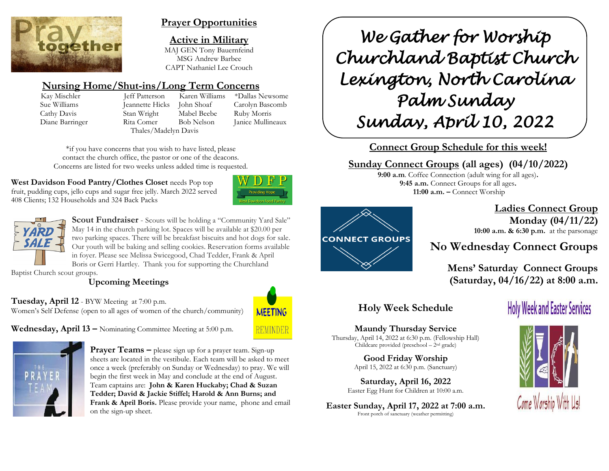

# **Prayer Opportunities**

**Active in Military** MAJ GEN Tony Bauernfeind MSG Andrew Barbee CAPT Nathaniel Lee Crouch

# **Nursing Home/Shut-ins/Long Term Concerns**

Kay Mischler Jeff Patterson Karen Williams \*Dallas Newsome Sue Williams Jeannette Hicks John Shoaf Carolyn Bascomb Cathy Davis Stan Wright Mabel Beebe Ruby Morris Diane Barringer Rita Comer Bob Nelson Janice Mullineaux Thales/Madelyn Davis

\*if you have concerns that you wish to have listed, please contact the church office, the pastor or one of the deacons. Concerns are listed for two weeks unless added time is requested.

**West Davidson Food Pantry/Clothes Closet needs Pop top** fruit, pudding cups, jello cups and sugar free jelly. March 2022 served 408 Clients; 132 Households and 324 Back Packs





**Scout Fundraiser** - Scouts will be holding a "Community Yard Sale" May 14 in the church parking lot. Spaces will be available at \$20.00 per two parking spaces. There will be breakfast biscuits and hot dogs for sale. Our youth will be baking and selling cookies. Reservation forms available in foyer. Please see Melissa Swicegood, Chad Tedder, Frank & April Boris or Gerri Hartley. Thank you for supporting the Churchland

Baptist Church scout groups.

# **Upcoming Meetings**

**Tuesday, April 12** - BYW Meeting at 7:00 p.m.

Women's Self Defense (open to all ages of women of the church/community)



**Wednesday, April 13 –** Nominating Committee Meeting at 5:00 p.m.



**Prayer Teams –** please sign up for a prayer team. Sign-up sheets are located in the vestibule. Each team will be asked to meet once a week (preferably on Sunday or Wednesday) to pray. We will begin the first week in May and conclude at the end of August. Team captains are: **John & Karen Huckaby; Chad & Suzan Tedder; David & Jackie Stiffel; Harold & Ann Burns; and Frank & April Boris.** Please provide your name, phone and email on the sign-up sheet.

*We Gather for Worship Churchland Baptist Church Lexington, North Carolina Palm Sunday Sunday, April 10, 2022* 

**Connect Group Schedule for this week!**

# **Sunday Connect Groups (all ages) (04/10/2022)**

**9:00 a.m**. Coffee Connection (adult wing for all ages)**. 9:45 a.m.** Connect Groups for all ages**. 11:00 a.m. –** Connect Worship



 **Ladies Connect Group Monday (04/11/22) 10:00 a.m. & 6:30 p.m.** at the parsonage

# **No Wednesday Connect Groups**

**Mens' Saturday Connect Groups (Saturday, 04/16/22) at 8:00 a.m.**

# **Holy Week Schedule**

#### **Maundy Thursday Service**  Thursday, April 14, 2022 at 6:30 p.m. (Fellowship Hall) Childcare provided (preschool – 2 nd grade)

**Good Friday Worship** April 15, 2022 at 6:30 p.m. (Sanctuary)

**Saturday, April 16, 2022** Easter Egg Hunt for Children at 10:00 a.m.

**Easter Sunday, April 17, 2022 at 7:00 a.m.** Front porch of sanctuary (weather permitting)

# **Holy Week and Easter Services**

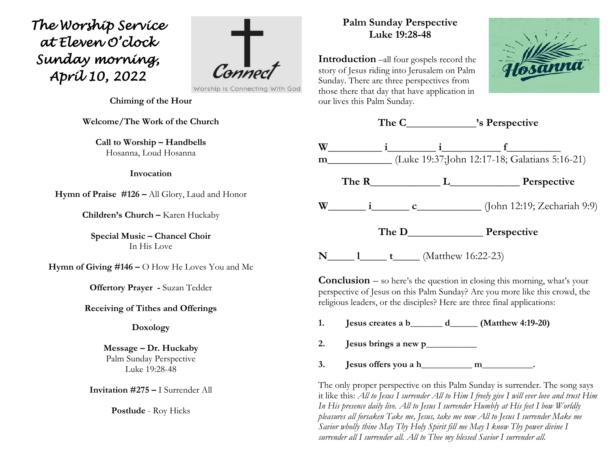*The Worship Service at Eleven O'clock Sunday morning, April 10, 2022*



Worship is Connecting With God

**Chiming of the Hour**

**Welcome/The Work of the Church**

**Call to Worship – Handbells** Hosanna, Loud Hosanna

#### **Invocation**

**Hymn of Praise #126 –** All Glory, Laud and Honor

**Children's Church –** Karen Huckaby

**Special Music – Chancel Choir** In His Love

**Hymn of Giving #146 –** O How He Loves You and Me

**Offertory Prayer -** Suzan Tedder

#### **Receiving of Tithes and Offerings** .

#### **Doxology**

**Message – Dr. Huckaby** Palm Sunday Perspective Luke 19:28-48

**Invitation #275 –** I Surrender All

**Postlude** - Roy Hicks

# **Palm Sunday Perspective Luke 19:28-48**

**Introduction** –all four gospels record the story of Jesus riding into Jerusalem on Palm Sunday. There are three perspectives from those there that day that have application in our lives this Palm Sunday.





**Conclusion** – so here's the question in closing this morning, what's your perspective of Jesus on this Palm Sunday? Are you more like this crowd, the religious leaders, or the disciples? Here are three final applications:

- **1. Jesus creates a b\_\_\_\_\_\_\_ d\_\_\_\_\_\_ (Matthew 4:19-20)**
- **2. Jesus brings a new p\_\_\_\_\_\_\_\_\_\_\_**
- $3.$  **Jesus offers you a h\_\_\_\_\_\_\_\_\_\_\_\_\_\_\_\_\_\_\_\_\_\_\_\_.**

The only proper perspective on this Palm Sunday is surrender. The song says it like this: *All to Jesus I surrender All to Him I freely give I will ever love and trust Him In His presence daily live. All to Jesus I surrender Humbly at His feet I bow Worldly pleasures all forsaken Take me, Jesus, take me now All to Jesus I surrender Make me Savior wholly thine May Thy Holy Spirit fill me May I know Thy power divine I surrender all I surrender all. All to Thee my blessed Savior I surrender all.*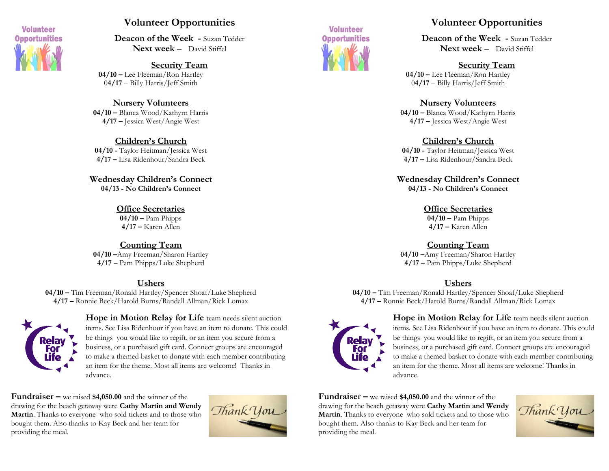

# **Volunteer Opportunities**

**Deacon of the Week -** Suzan Tedder **Next week** – David Stiffel

**Security Team 04/10 –** Lee Fleeman/Ron Hartley 0**4/17** – Billy Harris/Jeff Smith

**Nursery Volunteers 04/10 –** Blanca Wood/Kathyrn Harris **4/17 –** Jessica West/Angie West

**Children's Church 04/10 -** Taylor Heitman/Jessica West **4/17 –** Lisa Ridenhour/Sandra Beck

**Wednesday Children's Connect 04/13 - No Children's Connect**

> **Office Secretaries 04/10 –** Pam Phipps **4/17 –** Karen Allen

**Counting Team 04/10 –**Amy Freeman/Sharon Hartley **4/17 –** Pam Phipps/Luke Shepherd

#### **Ushers**

**04/10 –** Tim Freeman/Ronald Hartley/Spencer Shoaf/Luke Shepherd **4/17 –** Ronnie Beck/Harold Burns/Randall Allman/Rick Lomax



**Hope in Motion Relay for Life** team needs silent auction items. See Lisa Ridenhour if you have an item to donate. This could be things you would like to regift, or an item you secure from a business, or a purchased gift card. Connect groups are encouraged to make a themed basket to donate with each member contributing an item for the theme. Most all items are welcome! Thanks in advance.

**Fundraiser –** we raised **\$4,050.00** and the winner of the drawing for the beach getaway were **Cathy Martin and Wendy Martin**. Thanks to everyone who sold tickets and to those who bought them. Also thanks to Kay Beck and her team for providing the meal.





# **Volunteer Opportunities**

**Deacon of the Week -** Suzan Tedder **Next week** – David Stiffel

#### **Security Team**

**04/10 –** Lee Fleeman/Ron Hartley 0**4/17** – Billy Harris/Jeff Smith

#### **Nursery Volunteers**

**04/10 –** Blanca Wood/Kathyrn Harris **4/17 –** Jessica West/Angie West

#### **Children's Church**

**04/10 -** Taylor Heitman/Jessica West **4/17 –** Lisa Ridenhour/Sandra Beck

**Wednesday Children's Connect 04/13 - No Children's Connect**

> **Office Secretaries 04/10 –** Pam Phipps **4/17 –** Karen Allen

**Counting Team**

**04/10 –**Amy Freeman/Sharon Hartley **4/17 –** Pam Phipps/Luke Shepherd

#### **Ushers**

**04/10 –** Tim Freeman/Ronald Hartley/Spencer Shoaf/Luke Shepherd **4/17 –** Ronnie Beck/Harold Burns/Randall Allman/Rick Lomax



**Hope in Motion Relay for Life** team needs silent auction items. See Lisa Ridenhour if you have an item to donate. This could be things you would like to regift, or an item you secure from a business, or a purchased gift card. Connect groups are encouraged to make a themed basket to donate with each member contributing an item for the theme. Most all items are welcome! Thanks in advance.

**Fundraiser –** we raised **\$4,050.00** and the winner of the drawing for the beach getaway were **Cathy Martin and Wendy Martin**. Thanks to everyone who sold tickets and to those who bought them. Also thanks to Kay Beck and her team for providing the meal.